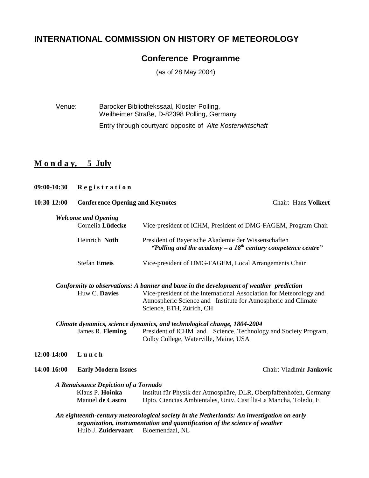# **INTERNATIONAL COMMISSION ON HISTORY OF METEOROLOGY**

# **Conference Programme**

(as of 28 May 2004)

Venue: Barocker Bibliothekssaal, Kloster Polling, Weilheimer Straße, D-82398 Polling, Germany Entry through courtyard opposite of Alte Kosterwirtschaft

## **M o n d a y, 5 July**

**09:00-10:30 R e g i s t r a t i o n** 

| 10:30-12:00                | <b>Conference Opening and Keynotes</b> | <b>Chair: Hans Volkert</b>                                                                                                                                                                                                                                 |  |  |  |
|----------------------------|----------------------------------------|------------------------------------------------------------------------------------------------------------------------------------------------------------------------------------------------------------------------------------------------------------|--|--|--|
| <b>Welcome and Opening</b> |                                        |                                                                                                                                                                                                                                                            |  |  |  |
|                            | Cornelia Lüdecke                       | Vice-president of ICHM, President of DMG-FAGEM, Program Chair                                                                                                                                                                                              |  |  |  |
|                            | Heinrich Nöth                          | President of Bayerische Akademie der Wissenschaften<br>"Polling and the academy $- a 18th$ century competence centre"                                                                                                                                      |  |  |  |
|                            | <b>Stefan Emeis</b>                    | Vice-president of DMG-FAGEM, Local Arrangements Chair                                                                                                                                                                                                      |  |  |  |
|                            | Huw C. Davies                          | Conformity to observations: A banner and bane in the development of weather prediction<br>Vice-president of the International Association for Meteorology and<br>Atmospheric Science and Institute for Atmospheric and Climate<br>Science, ETH, Zürich, CH |  |  |  |
|                            |                                        |                                                                                                                                                                                                                                                            |  |  |  |
|                            | James R. Fleming                       | Climate dynamics, science dynamics, and technological change, 1804-2004<br>President of ICHM and Science, Technology and Society Program,<br>Colby College, Waterville, Maine, USA                                                                         |  |  |  |
| 12:00-14:00                | Lunch                                  |                                                                                                                                                                                                                                                            |  |  |  |
| 14:00-16:00                | <b>Early Modern Issues</b>             | Chair: Vladimir Jankovic                                                                                                                                                                                                                                   |  |  |  |
|                            | A Renaissance Depiction of a Tornado   |                                                                                                                                                                                                                                                            |  |  |  |
|                            | Klaus P. Hoinka<br>Manuel de Castro    | Institut für Physik der Atmosphäre, DLR, Oberpfaffenhofen, Germany<br>Dpto. Ciencias Ambientales, Univ. Castilla-La Mancha, Toledo, E                                                                                                                      |  |  |  |
|                            | Huib J. Zuidervaart Bloemendaal, NL    | An eighteenth-century meteorological society in the Netherlands: An investigation on early<br>organization, instrumentation and quantification of the science of weather                                                                                   |  |  |  |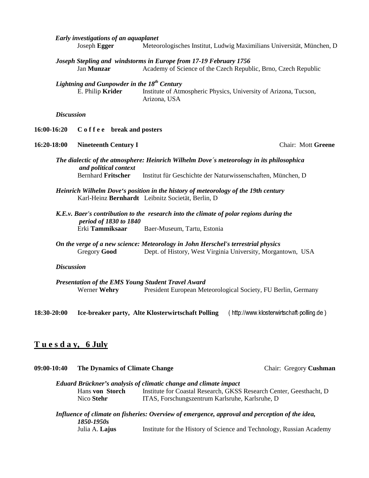|             |                   | Early investigations of an aquaplanet                                       |                                                                                                                                                         |                                                                       |
|-------------|-------------------|-----------------------------------------------------------------------------|---------------------------------------------------------------------------------------------------------------------------------------------------------|-----------------------------------------------------------------------|
|             |                   | Joseph Egger                                                                |                                                                                                                                                         | Meteorologisches Institut, Ludwig Maximilians Universität, München, D |
|             |                   | Jan Munzar                                                                  | Joseph Stepling and windstorms in Europe from 17-19 February 1756                                                                                       | Academy of Science of the Czech Republic, Brno, Czech Republic        |
|             |                   | Lightning and Gunpowder in the 18 <sup>th</sup> Century<br>E. Philip Krider | Arizona, USA                                                                                                                                            | Institute of Atmospheric Physics, University of Arizona, Tucson,      |
|             | <b>Discussion</b> |                                                                             |                                                                                                                                                         |                                                                       |
| 16:00-16:20 |                   | C o f f e e break and posters                                               |                                                                                                                                                         |                                                                       |
| 16:20-18:00 |                   | <b>Nineteenth Century I</b>                                                 |                                                                                                                                                         | <b>Chair: Mott Greene</b>                                             |
|             |                   | and political context<br><b>Bernhard Fritscher</b>                          | The dialectic of the atmosphere: Heinrich Wilhelm Dove's meteorology in its philosophica<br>Institut für Geschichte der Naturwissenschaften, München, D |                                                                       |
|             |                   |                                                                             | Heinrich Wilhelm Dove's position in the history of meteorology of the 19th century<br>Karl-Heinz Bernhardt Leibnitz Societät, Berlin, D                 |                                                                       |
|             |                   | <i>period of 1830 to 1840</i><br>Erki Tammiksaar                            | K.E.v. Baer's contribution to the research into the climate of polar regions during the<br>Baer-Museum, Tartu, Estonia                                  |                                                                       |
|             |                   | <b>Gregory Good</b>                                                         | On the verge of a new science: Meteorology in John Herschel's terrestrial physics                                                                       | Dept. of History, West Virginia University, Morgantown, USA           |
|             | <b>Discussion</b> |                                                                             |                                                                                                                                                         |                                                                       |
|             |                   | Werner Wehry                                                                | <b>Presentation of the EMS Young Student Travel Award</b>                                                                                               | President European Meteorological Society, FU Berlin, Germany         |
| 18:30-20:00 |                   |                                                                             | Ice-breaker party, Alte Klosterwirtschaft Polling                                                                                                       | (http://www.klosterwirtschaft-polling.de)                             |
|             |                   | <u>Tuesday, 6 July</u>                                                      |                                                                                                                                                         |                                                                       |
| 09:00-10:40 |                   | <b>The Dynamics of Climate Change</b>                                       |                                                                                                                                                         | Chair: Gregory Cushman                                                |

*Eduard Brückner's analysis of climatic change and climate impact* Hans **von Storch** Institute for Coastal Research, GKSS Research Center, Geesthacht, D<br>Nico Stehr ITAS, Forschungszentrum Karlsruhe, Karlsruhe, D ITAS, Forschungszentrum Karlsruhe, Karlsruhe, D

*Influence of climate on fisheries: Overview of emergence, approval and perception of the idea, 1850-1950s* Institute for the History of Science and Technology, Russian Academy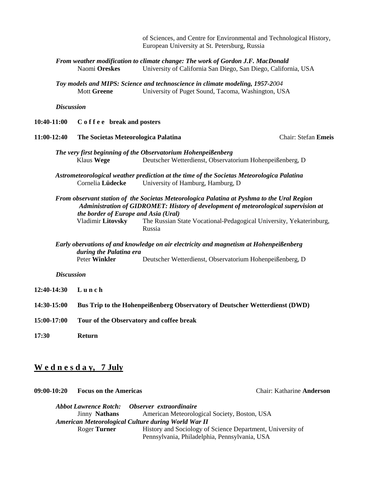of Sciences, and Centre for Environmental and Technological History, European University at St. Petersburg, Russia

*From weather modification to climate change: The work of Gordon J.F. MacDonald* Naomi **Oreskes** University of California San Diego, San Diego, California, USA

*Toy models and MIPS: Science and technoscience in climate modeling, 1957-2004*  Mott **Greene** University of Puget Sound, Tacoma, Washington, USA

*Discussion* 

**10:40-11:00 C o f f e e break and posters** 

**11:00-12:40 The Societas Meteorologica Palatina** Chair: Stefan **Emeis** 

- *The very first beginning of the Observatorium Hohenpeißenberg* Klaus **Wege** Deutscher Wetterdienst, Observatorium Hohenpeißenberg, D
- *Astrometeorological weather prediction at the time of the Societas Meteorologica Palatina* Cornelia **Lüdecke** University of Hamburg, Hamburg, D
- *From observant station of the Societas Meteorologica Palatina at Pyshma to the Ural Region Administration of GIDROMET: History of development of meteorological supervision at the border of Europe and Asia (Ural)* Vladimir **Litovsky** The Russian State Vocational-Pedagogical University, Yekaterinburg, Russia
- *Early obervations of and knowledge on air electricity and magnetism at Hohenpeißenberg during the Palatina era*  Deutscher Wetterdienst, Observatorium Hohenpeißenberg, D

### *Discussion*

- **12:40-14:30 L u n c h**
- **14:30-15:00 Bus Trip to the Hohenpeißenberg Observatory of Deutscher Wetterdienst (DWD)**
- **15:00-17:00 Tour of the Observatory and coffee break**
- **17:30 Return**

### **W e d n e s d a y, 7 July**

**09:00-10:20 Focus on the Americas** Chair: Katharine **Anderson** 

*Abbot Lawrence Rotch: Observer extraordinaire* Jinny **Nathans** American Meteorological Society, Boston, USA *American Meteorological Culture during World War II*  Roger **Turner** History and Sociology of Science Department, University of Pennsylvania, Philadelphia, Pennsylvania, USA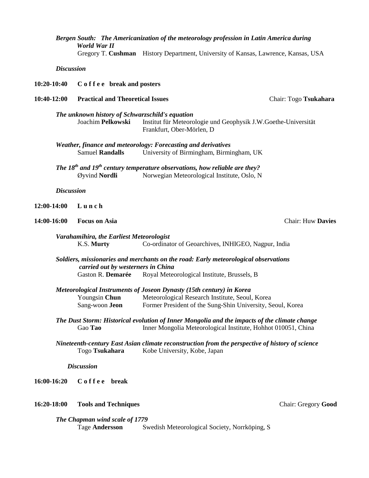## *Bergen South: The Americanization of the meteorology profession in Latin America during World War II*

Gregory T. **Cushman** History Department, University of Kansas, Lawrence, Kansas, USA

### *Discussion*

**10:20-10:40 C o f f e e break and posters** 

### **10:40-12:00 Practical and Theoretical Issues** Chair: Togo **Tsukahara**

*The unknown history of Schwarzschild's equation* Institut für Meteorologie und Geophysik J.W.Goethe-Universität Frankfurt, Ober-Mörlen, D

|                        | Weather, finance and meteorology: Forecasting and derivatives |
|------------------------|---------------------------------------------------------------|
| <b>Samuel Randalls</b> | University of Birmingham, Birmingham, UK                      |

*The 18th and 19th century temperature observations, how reliable are they?* Øyvind **Nordli** Norwegian Meteorological Institute, Oslo, N

*Discussion* 

### **12:00-14:00 L u n c h**

### **14:00-16:00 Focus on Asia** Chair: Huw **Davies**

| Varahamihira, the Earliest Meteorologist |                                                     |
|------------------------------------------|-----------------------------------------------------|
| K.S. Murty                               | Co-ordinator of Geoarchives, INHIGEO, Nagpur, India |

*Soldiers, missionaries and merchants on the road: Early meteorological observations carried out by westerners in China*  Gaston R. **Demarée** Royal Meteorological Institute, Brussels, B

*Meteorological Instruments of Joseon Dynasty (15th century) in Korea*

Youngsin **Chun** Meteorological Research Institute, Seoul, Korea Sang-woon **Jeon** Former President of the Sung-Shin University, Seoul, Korea

- *The Dust Storm: Historical evolution of Inner Mongolia and the impacts of the climate change* Gao **Tao** Inner Mongolia Meteorological Institute, Hohhot 010051, China
- *Nineteenth-century East Asian climate reconstruction from the perspective of history of science* Togo **Tsukahara** Kobe University, Kobe, Japan

 *Discussion* 

**16:00-16:20 C o f f e e break** 

### **16:20-18:00 Tools and Techniques** Chair: Gregory **Good**

*The Chapman wind scale of 1779*  Tage **Andersson** Swedish Meteorological Society, Norrköping, S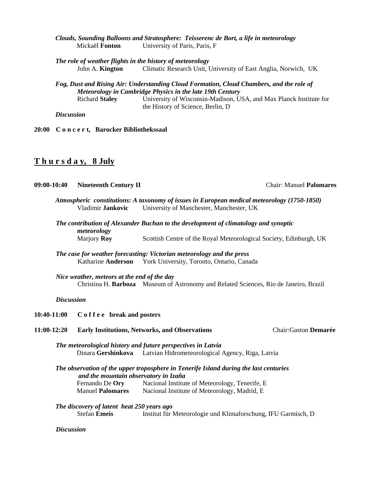- *Clouds, Sounding Balloons and Stratosphere: Teisserenc de Bort, a life in meteorology*  Mickaël **Fonton** University of Paris, Paris, F
- *The role of weather flights in the history of meteorology* John A. **Kington** Climatic Research Unit, University of East Anglia, Norwich, UK
- *Fog, Dust and Rising Air: Understanding Cloud Formation, Cloud Chambers, and the role of Meteorology in Cambridge Physics in the late 19th Century* Richard **Staley** University of Wisconsin-Madison, USA, and Max Planck Institute for the History of Science, Berlin, D

*Discussion* 

**20:00 C o n c e r t, Barocker Bibliothekssaal** 

## **T h u r s d a y, 8 July**

### **09:00-10:40 Nineteenth Century II** Chair: Manuel **Palomares**

- *Atmospheric constitutions: A taxonomy of issues in European medical meteorology (1750-1850)*  Vladimir **Jankovic** University of Manchester, Manchester, UK
- *The contribution of Alexander Buchan to the development of climatology and synoptic meteorology* Marjory **Roy** Scottish Centre of the Royal Meteorological Society, Edinburgh, UK

*The case for weather forecasting: Victorian meteorology and the press* Katharine **Anderson** York University, Toronto, Ontario, Canada

*Nice weather, meteors at the end of the day*  Christina H. **Barboza** Museum of Astronomy and Related Sciences, Rio de Janeiro, Brazil

### *Discussion*

**10:40-11:00 C o f f e e break and posters** 

**11:00-12:20 Early Institutions, Networks, and Observations** Chair:Gaston **Demarée** 

*The meteorological history and future perspectives in Latvia* Dinara **Gershinkova** Latvian Hidrometeorological Agency, Riga, Latvia

*The observation of the upper troposphere in Tenerife Island during the last centuries and the mountain observatory in Izaña* Fernando De **Ory** Nacional Institute of Meteorology, Tenerife, E Manuel **Palomares** Nacional Institute of Meteorology, Madrid, E

*The discovery of latent heat 250 years ago*

Stefan **Emeis** Institut für Meteorologie und Klimaforschung, IFU Garmisch, D

### *Discussion*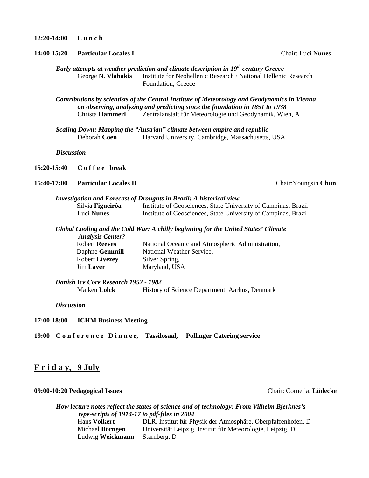**12:20-14:00 L u n c h** 

**14:00-15:20 Particular Locales I** Chair: Luci **Nunes** 

*Early attempts at weather prediction and climate description in 19th century Greece* George N. **Vlahakis** Institute for Neohellenic Research / National Hellenic Research Foundation, Greece

*Contributions by scientists of the Central Institute of Meteorology and Geodynamics in Vienna on observing, analyzing and predicting since the foundation in 1851 to 1938* Zentralanstalt für Meteorologie und Geodynamik, Wien, A

*Scaling Down: Mapping the "Austrian" climate between empire and republic*  Deborah **Coen** Harvard University, Cambridge, Massachusetts, USA

*Discussion* 

**15:20-15:40 C o f f e e break** 

**15:40-17:00 Particular Locales II** Chair:Youngsin **Chun** 

### *Investigation and Forecast of Droughts in Brazil: A historical view*

| Silvia Figueirôa  | Institute of Geosciences, State University of Campinas, Brazil |
|-------------------|----------------------------------------------------------------|
| Lucí <b>Nunes</b> | Institute of Geosciences, State University of Campinas, Brazil |

*Global Cooling and the Cold War: A chilly beginning for the United States' Climate Analysis Center?*

Robert **Reeves** National Oceanic and Atmospheric Administration, Daphne **Gemmill** National Weather Service, Robert **Livezey** Silver Spring, Jim Laver Maryland, USA

*Danish Ice Core Research 1952 - 1982*

Maiken **Lolck** History of Science Department, Aarhus, Denmark

*Discussion* 

**17:00-18:00 ICHM Business Meeting** 

**19:00 C o n f e r e n c e D i n n e r, Tassilosaal, Pollinger Catering service** 

## **F r i d a y, 9 July**

### **09:00-10:20 Pedagogical Issues** Chair: Cornelia. **Lüdecke**

# *How lecture notes reflect the states of science and of technology: From Vilhelm Bjerknes's type-scripts of 1914-17 to pdf-files in 2004*

DLR, Institut für Physik der Atmosphäre, Oberpfaffenhofen, D Michael **Börngen** Universität Leipzig, Institut für Meteorologie, Leipzig, D Ludwig **Weickmann** Starnberg, D